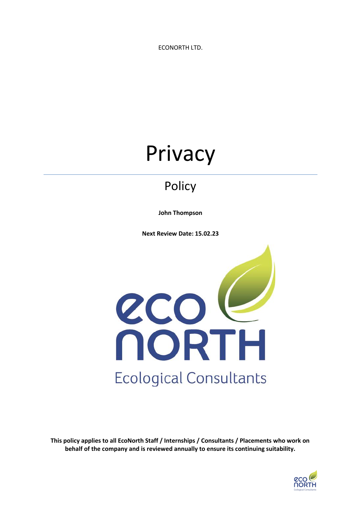ECONORTH LTD.

# Privacy

## Policy

**John Thompson**

**Next Review Date: 15.02.23**



**This policy applies to all EcoNorth Staff / Internships / Consultants / Placements who work on behalf of the company and is reviewed annually to ensure its continuing suitability.**

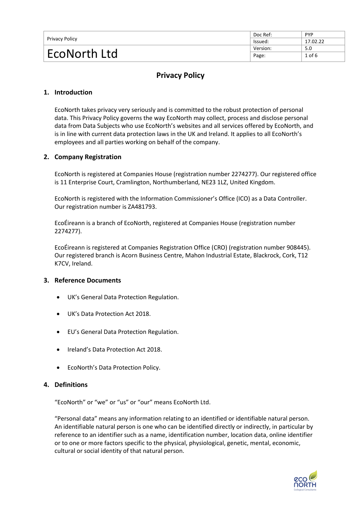| Privacy Policy | Doc Ref: | <b>PYP</b> |
|----------------|----------|------------|
|                | lssued:  | 17.02.22   |
| EcoNorth Ltd   | Version: | 5.0        |
|                | Page:    | $1$ of $6$ |

### **Privacy Policy**

#### **1. Introduction**

EcoNorth takes privacy very seriously and is committed to the robust protection of personal data. This Privacy Policy governs the way EcoNorth may collect, process and disclose personal data from Data Subjects who use EcoNorth's websites and all services offered by EcoNorth, and is in line with current data protection laws in the UK and Ireland. It applies to all EcoNorth's employees and all parties working on behalf of the company.

#### **2. Company Registration**

EcoNorth is registered at Companies House (registration number 2274277). Our registered office is 11 Enterprise Court, Cramlington, Northumberland, NE23 1LZ, United Kingdom.

EcoNorth is registered with the Information Commissioner's Office (ICO) as a Data Controller. Our registration number is ZA481793.

EcoÉireann is a branch of EcoNorth, registered at Companies House (registration number 2274277).

EcoÉireann is registered at Companies Registration Office (CRO) (registration number 908445). Our registered branch is Acorn Business Centre, Mahon Industrial Estate, Blackrock, Cork, T12 K7CV, Ireland.

#### **3. Reference Documents**

- UK's General Data Protection Regulation.
- UK's Data Protection Act 2018.
- EU's General Data Protection Regulation.
- Ireland's Data Protection Act 2018.
- EcoNorth's Data Protection Policy.

#### **4. Definitions**

"EcoNorth" or "we" or "us" or "our" means EcoNorth Ltd.

"Personal data" means any information relating to an identified or identifiable natural person. An identifiable natural person is one who can be identified directly or indirectly, in particular by reference to an identifier such as a name, identification number, location data, online identifier or to one or more factors specific to the physical, physiological, genetic, mental, economic, cultural or social identity of that natural person.

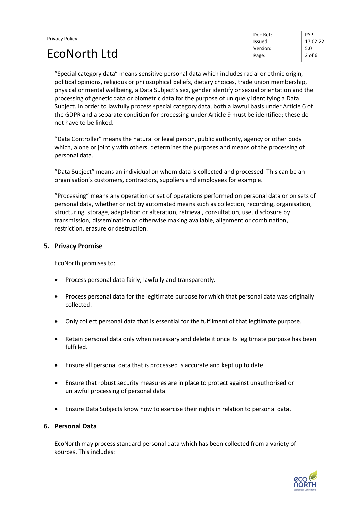| Privacy Policy | Doc Ref: | <b>PYP</b> |
|----------------|----------|------------|
|                | lssued:  | 17.02.22   |
| EcoNorth Ltd   | Version: | 5.0        |
|                | Page:    | $2$ of 6   |

"Special category data" means sensitive personal data which includes racial or ethnic origin, political opinions, religious or philosophical beliefs, dietary choices, trade union membership, physical or mental wellbeing, a Data Subject's sex, gender identify or sexual orientation and the processing of genetic data or biometric data for the purpose of uniquely identifying a Data Subject. In order to lawfully process special category data, both a lawful basis under Article 6 of the GDPR and a separate condition for processing under Article 9 must be identified; these do not have to be linked.

"Data Controller" means the natural or legal person, public authority, agency or other body which, alone or jointly with others, determines the purposes and means of the processing of personal data.

"Data Subject" means an individual on whom data is collected and processed. This can be an organisation's customers, contractors, suppliers and employees for example.

"Processing" means any operation or set of operations performed on personal data or on sets of personal data, whether or not by automated means such as collection, recording, organisation, structuring, storage, adaptation or alteration, retrieval, consultation, use, disclosure by transmission, dissemination or otherwise making available, alignment or combination, restriction, erasure or destruction.

#### **5. Privacy Promise**

EcoNorth promises to:

- Process personal data fairly, lawfully and transparently.
- Process personal data for the legitimate purpose for which that personal data was originally collected.
- Only collect personal data that is essential for the fulfilment of that legitimate purpose.
- Retain personal data only when necessary and delete it once its legitimate purpose has been fulfilled.
- Ensure all personal data that is processed is accurate and kept up to date.
- Ensure that robust security measures are in place to protect against unauthorised or unlawful processing of personal data.
- Ensure Data Subjects know how to exercise their rights in relation to personal data.

#### **6. Personal Data**

EcoNorth may process standard personal data which has been collected from a variety of sources. This includes:

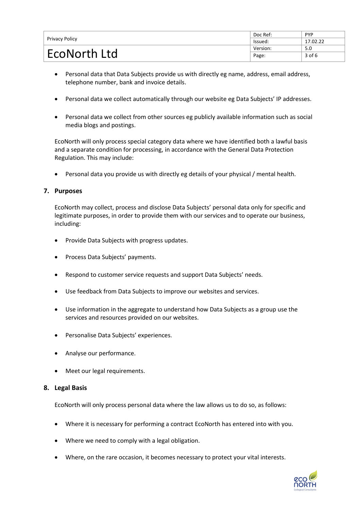| Privacy Policy      | Doc Ref: | <b>PYP</b> |
|---------------------|----------|------------|
|                     | lssued:  | 17.02.22   |
| <b>EcoNorth Ltd</b> | Version: | 5.0        |
|                     | Page:    | $3$ of 6   |

- Personal data that Data Subjects provide us with directly eg name, address, email address, telephone number, bank and invoice details.
- Personal data we collect automatically through our website eg Data Subjects' IP addresses.
- Personal data we collect from other sources eg publicly available information such as social media blogs and postings.

EcoNorth will only process special category data where we have identified both a lawful basis and a separate condition for processing, in accordance with the General Data Protection Regulation. This may include:

• Personal data you provide us with directly eg details of your physical / mental health.

#### **7. Purposes**

EcoNorth may collect, process and disclose Data Subjects' personal data only for specific and legitimate purposes, in order to provide them with our services and to operate our business, including:

- Provide Data Subjects with progress updates.
- Process Data Subjects' payments.
- Respond to customer service requests and support Data Subjects' needs.
- Use feedback from Data Subjects to improve our websites and services.
- Use information in the aggregate to understand how Data Subjects as a group use the services and resources provided on our websites.
- Personalise Data Subjects' experiences.
- Analyse our performance.
- Meet our legal requirements.

#### **8. Legal Basis**

EcoNorth will only process personal data where the law allows us to do so, as follows:

- Where it is necessary for performing a contract EcoNorth has entered into with you.
- Where we need to comply with a legal obligation.
- Where, on the rare occasion, it becomes necessary to protect your vital interests.

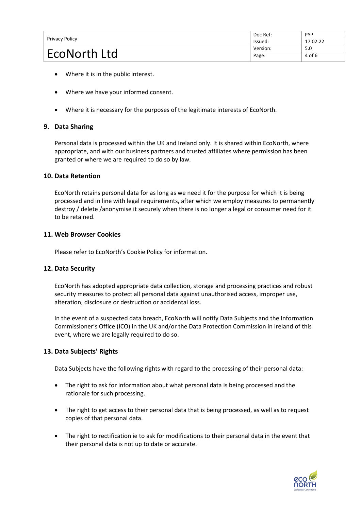| Privacy Policy      | Doc Ref: | <b>PYP</b> |
|---------------------|----------|------------|
|                     | lssued:  | 17.02.22   |
| <b>EcoNorth Ltd</b> | Version: | 5.0        |
|                     | Page:    | 4 of 6     |

- Where it is in the public interest.
- Where we have your informed consent.
- Where it is necessary for the purposes of the legitimate interests of EcoNorth.

#### **9. Data Sharing**

Personal data is processed within the UK and Ireland only. It is shared within EcoNorth, where appropriate, and with our business partners and trusted affiliates where permission has been granted or where we are required to do so by law.

#### **10. Data Retention**

EcoNorth retains personal data for as long as we need it for the purpose for which it is being processed and in line with legal requirements, after which we employ measures to permanently destroy / delete /anonymise it securely when there is no longer a legal or consumer need for it to be retained.

#### **11. Web Browser Cookies**

Please refer to EcoNorth's Cookie Policy for information.

#### **12. Data Security**

EcoNorth has adopted appropriate data collection, storage and processing practices and robust security measures to protect all personal data against unauthorised access, improper use, alteration, disclosure or destruction or accidental loss.

In the event of a suspected data breach, EcoNorth will notify Data Subjects and the Information Commissioner's Office (ICO) in the UK and/or the Data Protection Commission in Ireland of this event, where we are legally required to do so.

#### **13. Data Subjects' Rights**

Data Subjects have the following rights with regard to the processing of their personal data:

- The right to ask for information about what personal data is being processed and the rationale for such processing.
- The right to get access to their personal data that is being processed, as well as to request copies of that personal data.
- The right to rectification ie to ask for modifications to their personal data in the event that their personal data is not up to date or accurate.

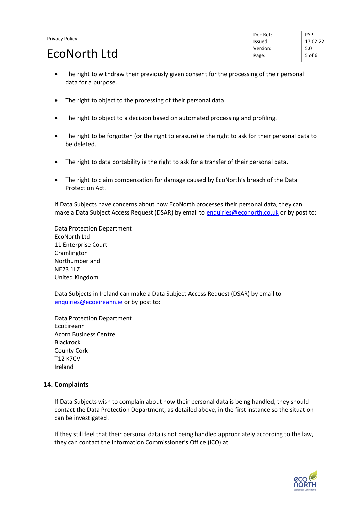| Privacy Policy | Doc Ref: | <b>PYP</b> |
|----------------|----------|------------|
|                | lssued:  | 17.02.22   |
| EcoNorth Ltd   | Version: | 5.0        |
|                | Page:    | $5$ of 6   |

- The right to withdraw their previously given consent for the processing of their personal data for a purpose.
- The right to object to the processing of their personal data.
- The right to object to a decision based on automated processing and profiling.
- The right to be forgotten (or the right to erasure) ie the right to ask for their personal data to be deleted.
- The right to data portability ie the right to ask for a transfer of their personal data.
- The right to claim compensation for damage caused by EcoNorth's breach of the Data Protection Act.

If Data Subjects have concerns about how EcoNorth processes their personal data, they can make a Data Subject Access Request (DSAR) by email t[o enquiries@econorth.co.uk](mailto:enquiries@econorth.co.uk) or by post to:

Data Protection Department EcoNorth Ltd 11 Enterprise Court Cramlington Northumberland NE23 1LZ United Kingdom

Data Subjects in Ireland can make a Data Subject Access Request (DSAR) by email to [enquiries@ecoeireann.ie](mailto:enquiries@ecoeireann.ie) or by post to:

Data Protection Department EcoÉireann Acorn Business Centre Blackrock County Cork T12 K7CV Ireland

#### **14. Complaints**

If Data Subjects wish to complain about how their personal data is being handled, they should contact [the](mailto:the) Data Protection Department, as detailed above, in the first instance so the situation can be investigated.

If they still feel that their personal data is not being handled appropriately according to the law, they can contact the Information Commissioner's Office (ICO) at: